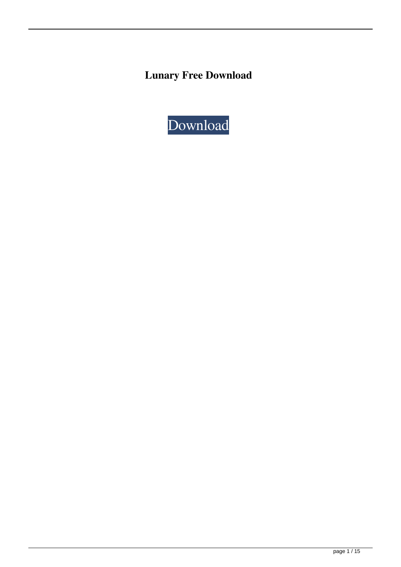**Lunary Free Download**

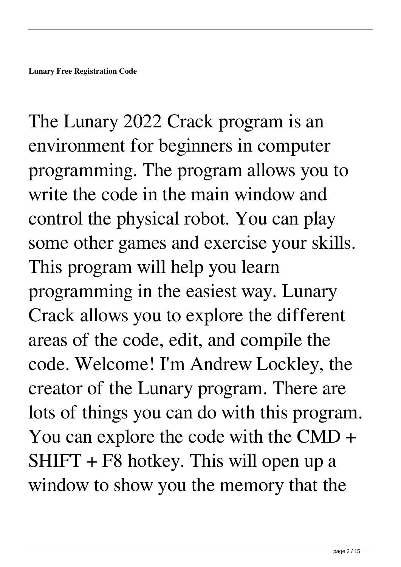The Lunary 2022 Crack program is an environment for beginners in computer programming. The program allows you to write the code in the main window and control the physical robot. You can play some other games and exercise your skills. This program will help you learn programming in the easiest way. Lunary Crack allows you to explore the different areas of the code, edit, and compile the code. Welcome! I'm Andrew Lockley, the creator of the Lunary program. There are lots of things you can do with this program. You can explore the code with the CMD + SHIFT + F8 hotkey. This will open up a window to show you the memory that the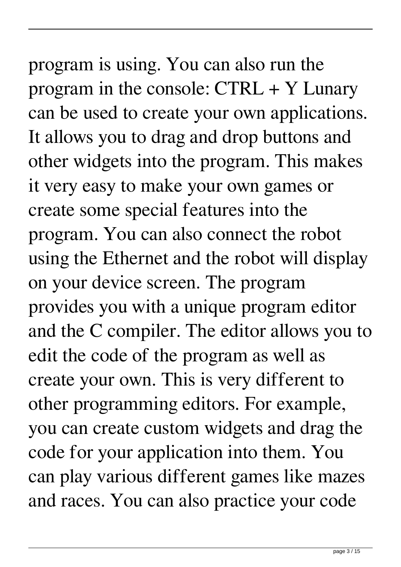## program is using. You can also run the program in the console: CTRL + Y Lunary

can be used to create your own applications. It allows you to drag and drop buttons and other widgets into the program. This makes it very easy to make your own games or create some special features into the program. You can also connect the robot using the Ethernet and the robot will display on your device screen. The program provides you with a unique program editor and the C compiler. The editor allows you to edit the code of the program as well as create your own. This is very different to other programming editors. For example, you can create custom widgets and drag the code for your application into them. You can play various different games like mazes and races. You can also practice your code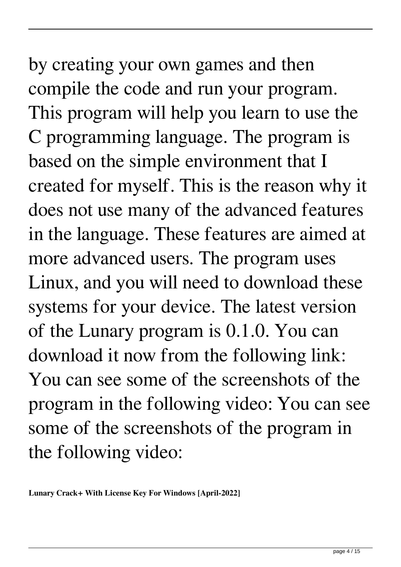by creating your own games and then compile the code and run your program. This program will help you learn to use the C programming language. The program is based on the simple environment that I created for myself. This is the reason why it does not use many of the advanced features in the language. These features are aimed at more advanced users. The program uses Linux, and you will need to download these systems for your device. The latest version of the Lunary program is 0.1.0. You can download it now from the following link: You can see some of the screenshots of the program in the following video: You can see some of the screenshots of the program in the following video: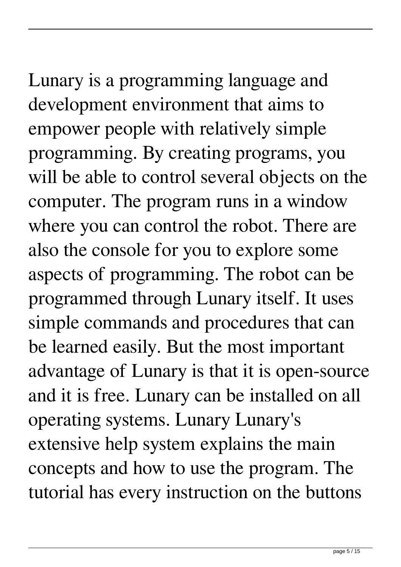Lunary is a programming language and development environment that aims to empower people with relatively simple programming. By creating programs, you will be able to control several objects on the computer. The program runs in a window where you can control the robot. There are also the console for you to explore some aspects of programming. The robot can be programmed through Lunary itself. It uses simple commands and procedures that can be learned easily. But the most important advantage of Lunary is that it is open-source and it is free. Lunary can be installed on all operating systems. Lunary Lunary's extensive help system explains the main concepts and how to use the program. The tutorial has every instruction on the buttons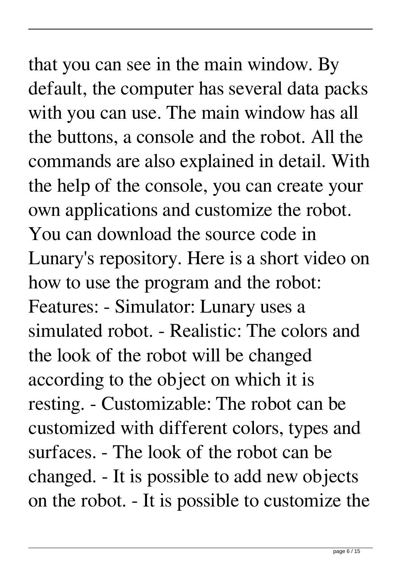### that you can see in the main window. By default, the computer has several data packs with you can use. The main window has all the buttons, a console and the robot. All the commands are also explained in detail. With the help of the console, you can create your own applications and customize the robot. You can download the source code in Lunary's repository. Here is a short video on how to use the program and the robot: Features: - Simulator: Lunary uses a simulated robot. - Realistic: The colors and the look of the robot will be changed according to the object on which it is resting. - Customizable: The robot can be customized with different colors, types and surfaces. - The look of the robot can be changed. - It is possible to add new objects on the robot. - It is possible to customize the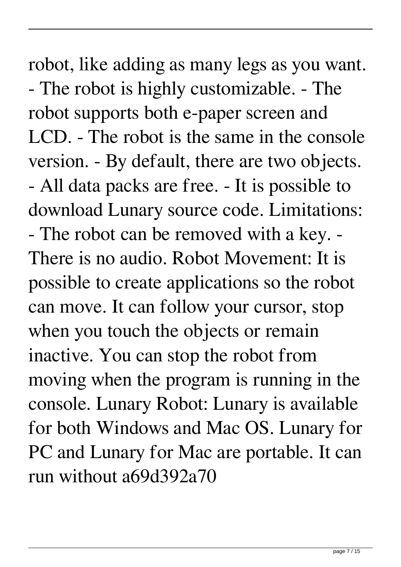robot, like adding as many legs as you want. - The robot is highly customizable. - The robot supports both e-paper screen and LCD. - The robot is the same in the console version. - By default, there are two objects. - All data packs are free. - It is possible to download Lunary source code. Limitations: - The robot can be removed with a key. - There is no audio. Robot Movement: It is possible to create applications so the robot can move. It can follow your cursor, stop when you touch the objects or remain inactive. You can stop the robot from moving when the program is running in the console. Lunary Robot: Lunary is available for both Windows and Mac OS. Lunary for PC and Lunary for Mac are portable. It can run without a69d392a70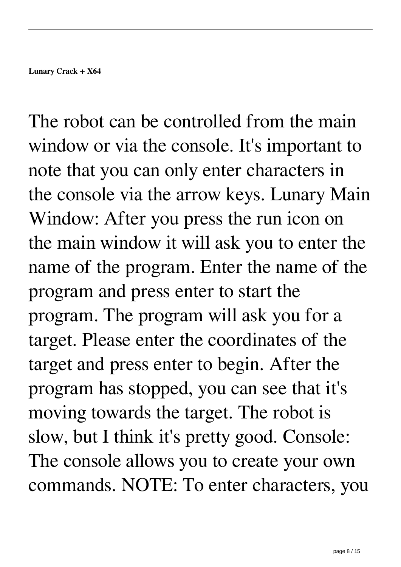The robot can be controlled from the main window or via the console. It's important to note that you can only enter characters in the console via the arrow keys. Lunary Main Window: After you press the run icon on the main window it will ask you to enter the name of the program. Enter the name of the program and press enter to start the program. The program will ask you for a target. Please enter the coordinates of the target and press enter to begin. After the program has stopped, you can see that it's moving towards the target. The robot is slow, but I think it's pretty good. Console: The console allows you to create your own commands. NOTE: To enter characters, you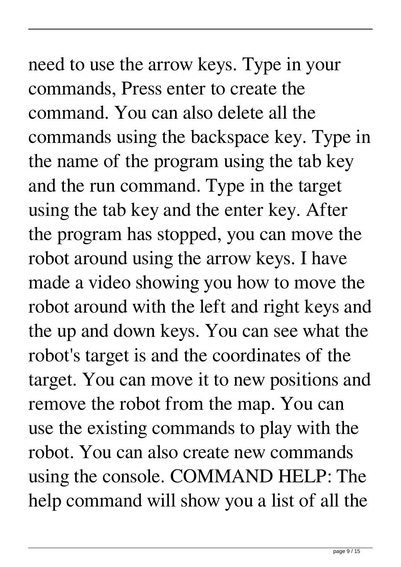### need to use the arrow keys. Type in your commands, Press enter to create the command. You can also delete all the commands using the backspace key. Type in the name of the program using the tab key and the run command. Type in the target using the tab key and the enter key. After the program has stopped, you can move the robot around using the arrow keys. I have made a video showing you how to move the robot around with the left and right keys and the up and down keys. You can see what the robot's target is and the coordinates of the target. You can move it to new positions and

remove the robot from the map. You can use the existing commands to play with the robot. You can also create new commands using the console. COMMAND HELP: The help command will show you a list of all the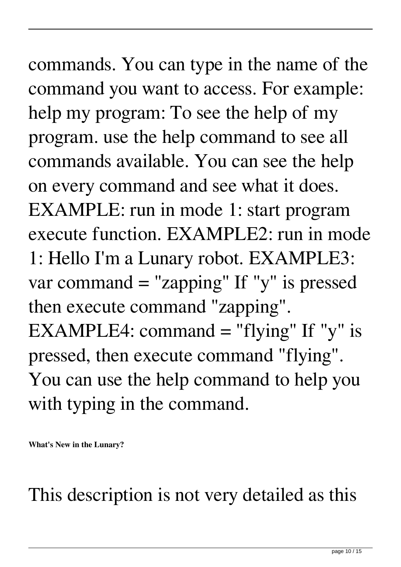# commands. You can type in the name of the

command you want to access. For example: help my program: To see the help of my program. use the help command to see all commands available. You can see the help on every command and see what it does. EXAMPLE: run in mode 1: start program execute function. EXAMPLE2: run in mode 1: Hello I'm a Lunary robot. EXAMPLE3: var command = "zapping" If "y" is pressed then execute command "zapping". EXAMPLE4: command  $=$  "flying" If "y" is pressed, then execute command "flying". You can use the help command to help you with typing in the command.

**What's New in the Lunary?**

This description is not very detailed as this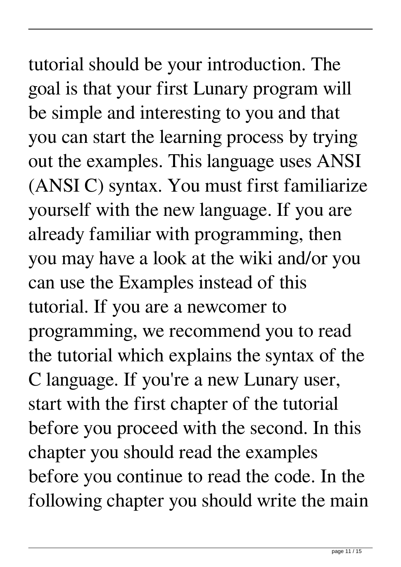### tutorial should be your introduction. The goal is that your first Lunary program will be simple and interesting to you and that you can start the learning process by trying out the examples. This language uses ANSI (ANSI C) syntax. You must first familiarize yourself with the new language. If you are already familiar with programming, then you may have a look at the wiki and/or you can use the Examples instead of this tutorial. If you are a newcomer to programming, we recommend you to read the tutorial which explains the syntax of the C language. If you're a new Lunary user, start with the first chapter of the tutorial before you proceed with the second. In this chapter you should read the examples before you continue to read the code. In the following chapter you should write the main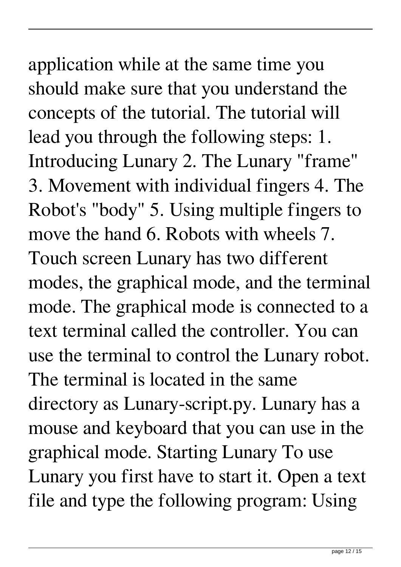### application while at the same time you should make sure that you understand the concepts of the tutorial. The tutorial will lead you through the following steps: 1. Introducing Lunary 2. The Lunary "frame" 3. Movement with individual fingers 4. The Robot's "body" 5. Using multiple fingers to move the hand 6. Robots with wheels 7. Touch screen Lunary has two different modes, the graphical mode, and the terminal mode. The graphical mode is connected to a text terminal called the controller. You can use the terminal to control the Lunary robot. The terminal is located in the same directory as Lunary-script.py. Lunary has a mouse and keyboard that you can use in the graphical mode. Starting Lunary To use Lunary you first have to start it. Open a text

file and type the following program: Using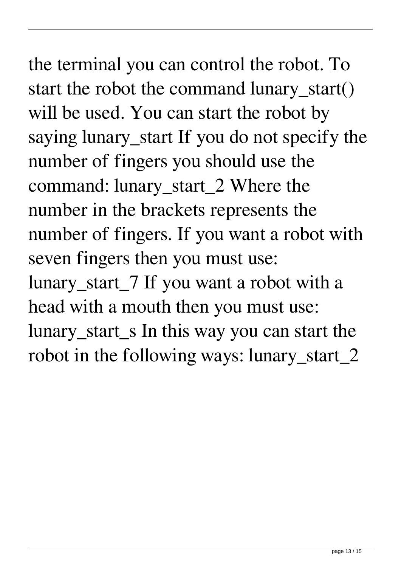### the terminal you can control the robot. To start the robot the command lunary\_start() will be used. You can start the robot by saying lunary\_start If you do not specify the number of fingers you should use the command: lunary\_start\_2 Where the number in the brackets represents the number of fingers. If you want a robot with seven fingers then you must use: lunary\_start\_7 If you want a robot with a head with a mouth then you must use: lunary\_start\_s In this way you can start the robot in the following ways: lunary\_start\_2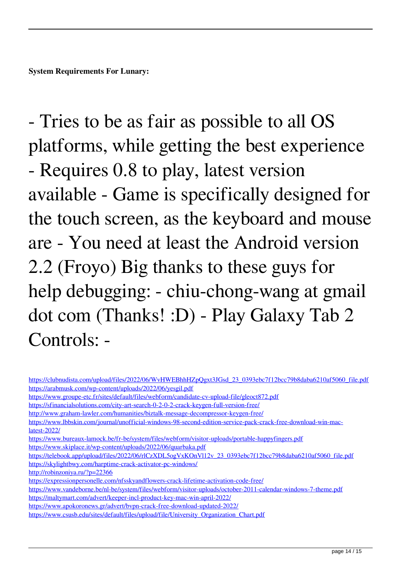**System Requirements For Lunary:**

- Tries to be as fair as possible to all OS platforms, while getting the best experience - Requires 0.8 to play, latest version available - Game is specifically designed for the touch screen, as the keyboard and mouse are - You need at least the Android version 2.2 (Froyo) Big thanks to these guys for help debugging: - chiu-chong-wang at gmail dot com (Thanks! :D) - Play Galaxy Tab 2 Controls: -

<https://www.apokoronews.gr/advert/bvpn-crack-free-download-updated-2022/>

https://clubnudista.com/upload/files/2022/06/WvHWEBhhHZpOgxt3JGsd\_23\_0393ebc7f12bcc79b8daba6210af5060\_file.pdf <https://arabmusk.com/wp-content/uploads/2022/06/yesgil.pdf> <https://www.groupe-etc.fr/sites/default/files/webform/candidate-cv-upload-file/gleoct872.pdf> <https://sfinancialsolutions.com/city-art-search-0-2-0-2-crack-keygen-full-version-free/> <http://www.graham-lawler.com/humanities/biztalk-message-decompressor-keygen-free/> [https://www.lbbskin.com/journal/unofficial-windows-98-second-edition-service-pack-crack-free-download-win-mac](https://www.lbbskin.com/journal/unofficial-windows-98-second-edition-service-pack-crack-free-download-win-mac-latest-2022/)[latest-2022/](https://www.lbbskin.com/journal/unofficial-windows-98-second-edition-service-pack-crack-free-download-win-mac-latest-2022/) <https://www.bureaux-lamock.be/fr-be/system/files/webform/visitor-uploads/portable-happyfingers.pdf> <https://www.skiplace.it/wp-content/uploads/2022/06/quarbaka.pdf> [https://telebook.app/upload/files/2022/06/rlCzXDL5ogVxKOnVl12v\\_23\\_0393ebc7f12bcc79b8daba6210af5060\\_file.pdf](https://telebook.app/upload/files/2022/06/rlCzXDL5ogVxKOnVl12v_23_0393ebc7f12bcc79b8daba6210af5060_file.pdf) <https://skylightbwy.com/harptime-crack-activator-pc-windows/> <http://robinzoniya.ru/?p=22366> <https://expressionpersonelle.com/nfsskyandflowers-crack-lifetime-activation-code-free/> <https://www.vandeborne.be/nl-be/system/files/webform/visitor-uploads/october-2011-calendar-windows-7-theme.pdf> <https://maltymart.com/advert/keeper-incl-product-key-mac-win-april-2022/>

[https://www.csusb.edu/sites/default/files/upload/file/University\\_Organization\\_Chart.pdf](https://www.csusb.edu/sites/default/files/upload/file/University_Organization_Chart.pdf)